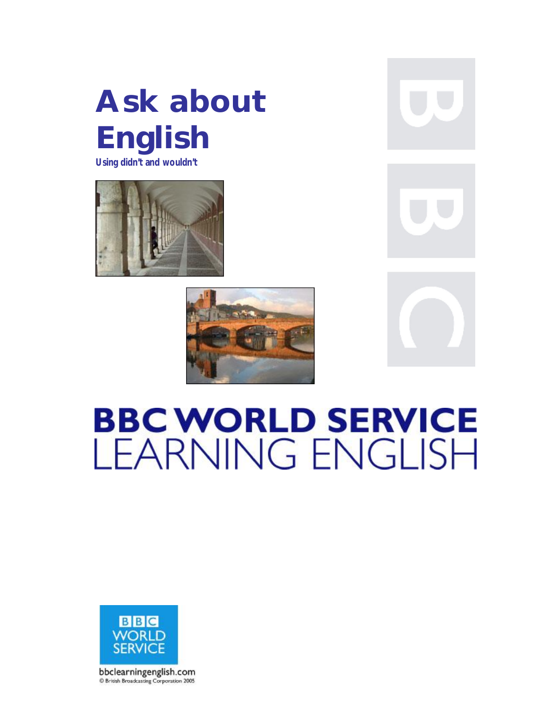# **Ask about English**

**Using didn't and wouldn't** 





# **BBC WORLD SERVICE LEARNING ENGLISH**



bbclearningenglish.com @ British Broadcasting Corporation 2005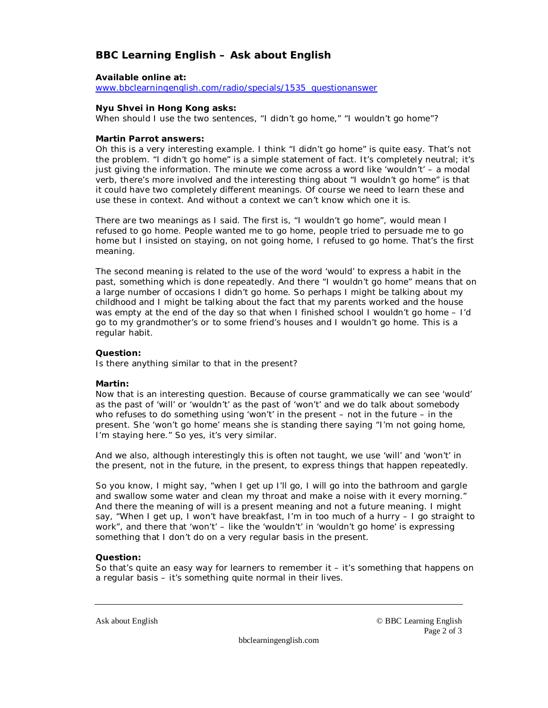## **BBC Learning English – Ask about English**

#### **Available online at:**

[www.bbclearningenglish.com/radio/specials/1535\\_questionanswer](http://www.bbclearningenglish.com/radio/specials/1535_questionanswer)

#### **Nyu Shvei in Hong Kong asks:**

When should I use the two sentences, "I didn't go home," "I wouldn't go home"?

#### **Martin Parrot answers:**

Oh this is a very interesting example. I think "I didn't go home" is quite easy. That's not the problem. "I didn't go home" is a simple statement of fact. It's completely neutral; it's just giving the information. The minute we come across a word like 'wouldn't' – a modal verb, there's more involved and the interesting thing about "I wouldn't go home" is that it could have two completely different meanings. Of course we need to learn these and use these in context. And without a context we can't know which one it is.

There are two meanings as I said. The first is, "I wouldn't go home", would mean I refused to go home. People wanted me to go home, people tried to persuade me to go home but I insisted on staying, on not going home, I refused to go home. That's the first meaning.

The second meaning is related to the use of the word 'would' to express a habit in the past, something which is done repeatedly. And there "I wouldn't go home" means that on a large number of occasions I didn't go home. So perhaps I might be talking about my childhood and I might be talking about the fact that my parents worked and the house was empty at the end of the day so that when I finished school I wouldn't go home - I'd go to my grandmother's or to some friend's houses and I wouldn't go home. This is a regular habit.

#### **Question:**

Is there anything similar to that in the present?

#### **Martin:**

Now that is an interesting question. Because of course grammatically we can see 'would' as the past of 'will' or 'wouldn't' as the past of 'won't' and we do talk about somebody who refuses to do something using 'won't' in the present – not in the future – in the present. She 'won't go home' means she is standing there saying "I'm not going home, I'm staying here." So yes, it's very similar.

And we also, although interestingly this is often not taught, we use 'will' and 'won't' in the present, not in the future, in the present, to express things that happen repeatedly.

So you know, I might say, "when I get up I'll go, I will go into the bathroom and gargle and swallow some water and clean my throat and make a noise with it every morning." And there the meaning of will is a present meaning and not a future meaning. I might say, "When I get up, I won't have breakfast, I'm in too much of a hurry – I go straight to work", and there that 'won't' – like the 'wouldn't' in 'wouldn't go home' is expressing something that I don't do on a very regular basis in the present.

#### **Question:**

So that's quite an easy way for learners to remember it – it's something that happens on a regular basis – it's something quite normal in their lives.

Ask about English © BBC Learning English Page 2 of 3

bbclearningenglish.com